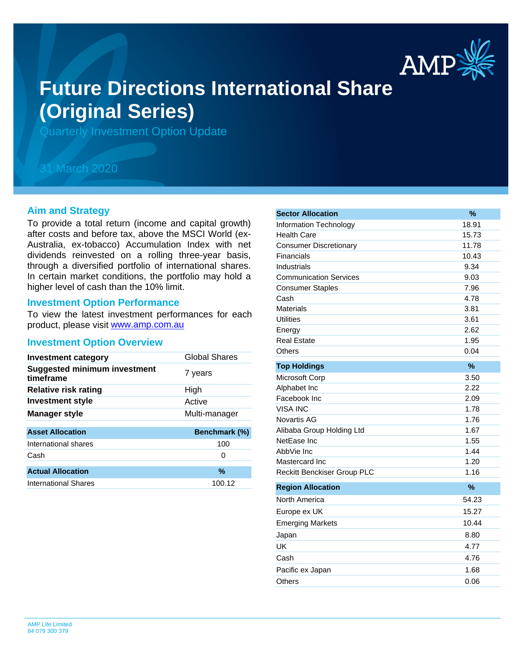

# **Future Directions International Share (Original Series)**

Quarterly Investment Option Update

## 31 March 2020

#### **Aim and Strategy**

To provide a total return (income and capital growth) after costs and before tax, above the MSCI World (ex-Australia, ex-tobacco) Accumulation Index with net dividends reinvested on a rolling three-year basis, through a diversified portfolio of international shares. In certain market conditions, the portfolio may hold a higher level of cash than the 10% limit.

#### **Investment Option Performance**

product, please visit [www.amp.com.au](https://www.amp.com.au) To view the latest investment performances for each

#### **Investment Option Overview**

| Global Shares |
|---------------|
| 7 years       |
| High          |
| Active        |
| Multi-manager |
| Benchmark (%) |
| 100           |
| 0             |
| $\frac{0}{0}$ |
| 100.12        |
|               |

| <b>Sector Allocation</b>           | %     |
|------------------------------------|-------|
| Information Technology             | 18.91 |
| <b>Health Care</b>                 | 15.73 |
| <b>Consumer Discretionary</b>      | 11.78 |
| Financials                         | 10.43 |
| Industrials                        | 9.34  |
| <b>Communication Services</b>      | 9.03  |
| <b>Consumer Staples</b>            | 7.96  |
| Cash                               | 4.78  |
| <b>Materials</b>                   | 3.81  |
| <b>Utilities</b>                   | 3.61  |
| Energy                             | 2.62  |
| <b>Real Estate</b>                 | 1.95  |
| Others                             | 0.04  |
| <b>Top Holdings</b>                | %     |
| Microsoft Corp                     | 3.50  |
| Alphabet Inc                       | 2.22  |
| Facebook Inc                       | 2.09  |
| <b>VISA INC</b>                    | 1.78  |
| Novartis AG                        | 1.76  |
| Alibaba Group Holding Ltd          | 1.67  |
| NetEase Inc                        | 1.55  |
| AbbVie Inc                         | 1.44  |
| Mastercard Inc                     | 1.20  |
| <b>Reckitt Benckiser Group PLC</b> | 1.16  |
| <b>Region Allocation</b>           | %     |
| North America                      | 54.23 |
| Europe ex UK                       | 15.27 |
| <b>Emerging Markets</b>            | 10.44 |
| Japan                              | 8.80  |
| UK                                 | 4.77  |
| Cash                               | 4.76  |
| Pacific ex Japan                   | 1.68  |
| Others                             | 0.06  |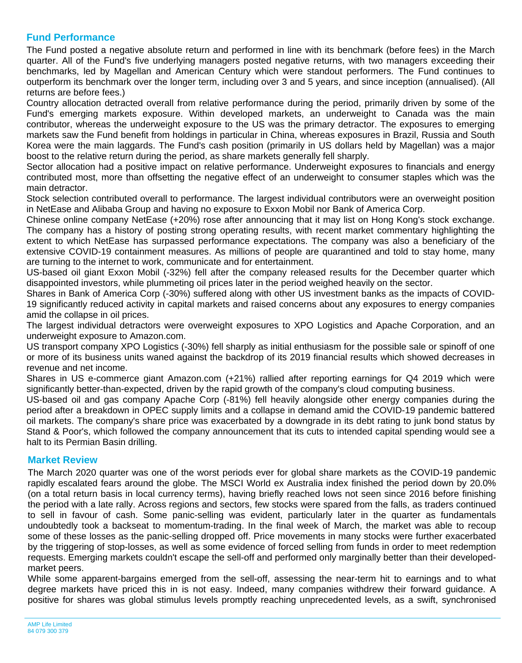### **Fund Performance**

The Fund posted a negative absolute return and performed in line with its benchmark (before fees) in the March quarter. All of the Fund's five underlying managers posted negative returns, with two managers exceeding their benchmarks, led by Magellan and American Century which were standout performers. The Fund continues to outperform its benchmark over the longer term, including over 3 and 5 years, and since inception (annualised). (All returns are before fees.)

Country allocation detracted overall from relative performance during the period, primarily driven by some of the Fund's emerging markets exposure. Within developed markets, an underweight to Canada was the main contributor, whereas the underweight exposure to the US was the primary detractor. The exposures to emerging markets saw the Fund benefit from holdings in particular in China, whereas exposures in Brazil, Russia and South Korea were the main laggards. The Fund's cash position (primarily in US dollars held by Magellan) was a major boost to the relative return during the period, as share markets generally fell sharply.

Sector allocation had a positive impact on relative performance. Underweight exposures to financials and energy contributed most, more than offsetting the negative effect of an underweight to consumer staples which was the main detractor.

Stock selection contributed overall to performance. The largest individual contributors were an overweight position in NetEase and Alibaba Group and having no exposure to Exxon Mobil nor Bank of America Corp.

Chinese online company NetEase (+20%) rose after announcing that it may list on Hong Kong's stock exchange. The company has a history of posting strong operating results, with recent market commentary highlighting the extent to which NetEase has surpassed performance expectations. The company was also a beneficiary of the extensive COVID-19 containment measures. As millions of people are quarantined and told to stay home, many are turning to the internet to work, communicate and for entertainment.

US-based oil giant Exxon Mobil (-32%) fell after the company released results for the December quarter which disappointed investors, while plummeting oil prices later in the period weighed heavily on the sector.

Shares in Bank of America Corp (-30%) suffered along with other US investment banks as the impacts of COVID-19 significantly reduced activity in capital markets and raised concerns about any exposures to energy companies amid the collapse in oil prices.

The largest individual detractors were overweight exposures to XPO Logistics and Apache Corporation, and an underweight exposure to Amazon.com.

US transport company XPO Logistics (-30%) fell sharply as initial enthusiasm for the possible sale or spinoff of one or more of its business units waned against the backdrop of its 2019 financial results which showed decreases in revenue and net income.

Shares in US e-commerce giant Amazon.com (+21%) rallied after reporting earnings for Q4 2019 which were significantly better-than-expected, driven by the rapid growth of the company's cloud computing business.

US-based oil and gas company Apache Corp (-81%) fell heavily alongside other energy companies during the period after a breakdown in OPEC supply limits and a collapse in demand amid the COVID-19 pandemic battered oil markets. The company's share price was exacerbated by a downgrade in its debt rating to junk bond status by Stand & Poor's, which followed the company announcement that its cuts to intended capital spending would see a halt to its Permian Basin drilling.

#### **Market Review**

The March 2020 quarter was one of the worst periods ever for global share markets as the COVID-19 pandemic rapidly escalated fears around the globe. The MSCI World ex Australia index finished the period down by 20.0% (on a total return basis in local currency terms), having briefly reached lows not seen since 2016 before finishing the period with a late rally. Across regions and sectors, few stocks were spared from the falls, as traders continued to sell in favour of cash. Some panic-selling was evident, particularly later in the quarter as fundamentals undoubtedly took a backseat to momentum-trading. In the final week of March, the market was able to recoup some of these losses as the panic-selling dropped off. Price movements in many stocks were further exacerbated by the triggering of stop-losses, as well as some evidence of forced selling from funds in order to meet redemption requests. Emerging markets couldn't escape the sell-off and performed only marginally better than their developedmarket peers.

While some apparent-bargains emerged from the sell-off, assessing the near-term hit to earnings and to what degree markets have priced this in is not easy. Indeed, many companies withdrew their forward guidance. A positive for shares was global stimulus levels promptly reaching unprecedented levels, as a swift, synchronised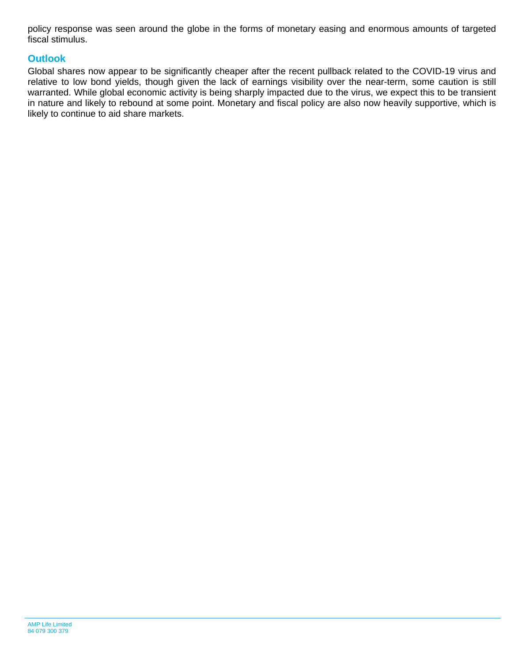policy response was seen around the globe in the forms of monetary easing and enormous amounts of targeted fiscal stimulus.

#### **Outlook**

Global shares now appear to be significantly cheaper after the recent pullback related to the COVID-19 virus and relative to low bond yields, though given the lack of earnings visibility over the near-term, some caution is still warranted. While global economic activity is being sharply impacted due to the virus, we expect this to be transient in nature and likely to rebound at some point. Monetary and fiscal policy are also now heavily supportive, which is likely to continue to aid share markets.